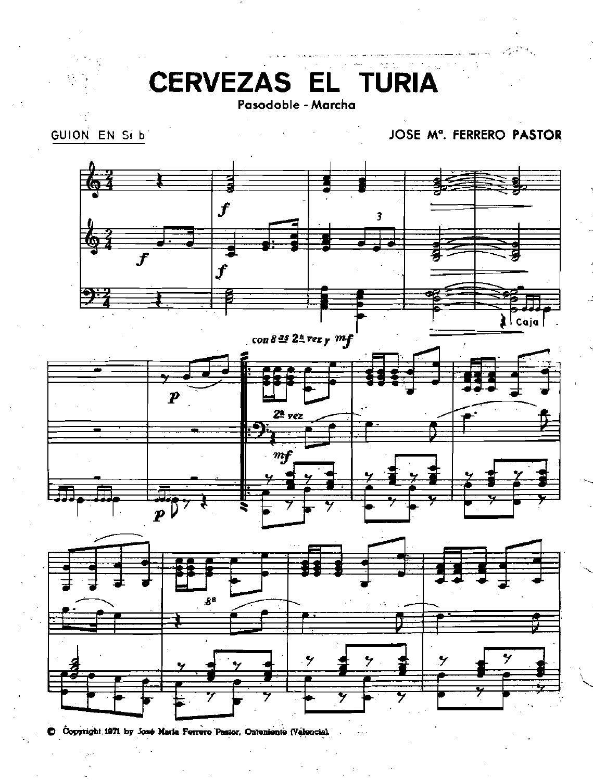

aar).

C Copyright 1971 by José Maria Ferrero Pastor, Ontaniente (Valencia)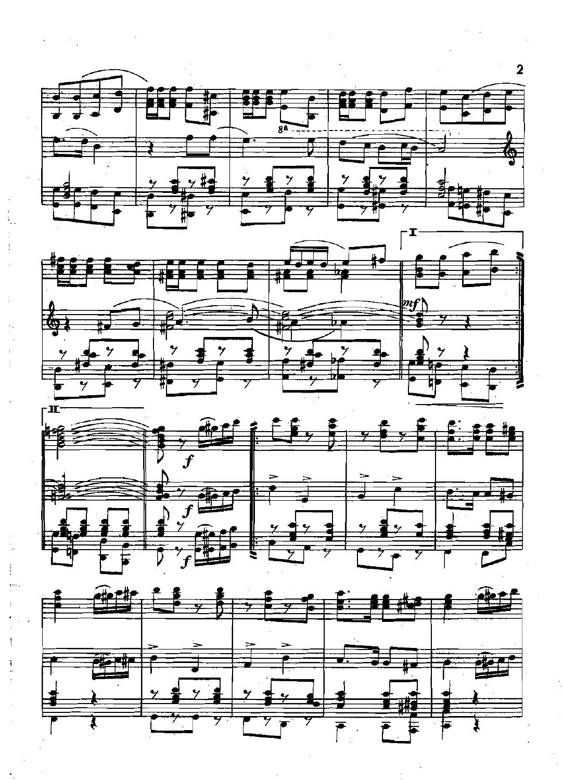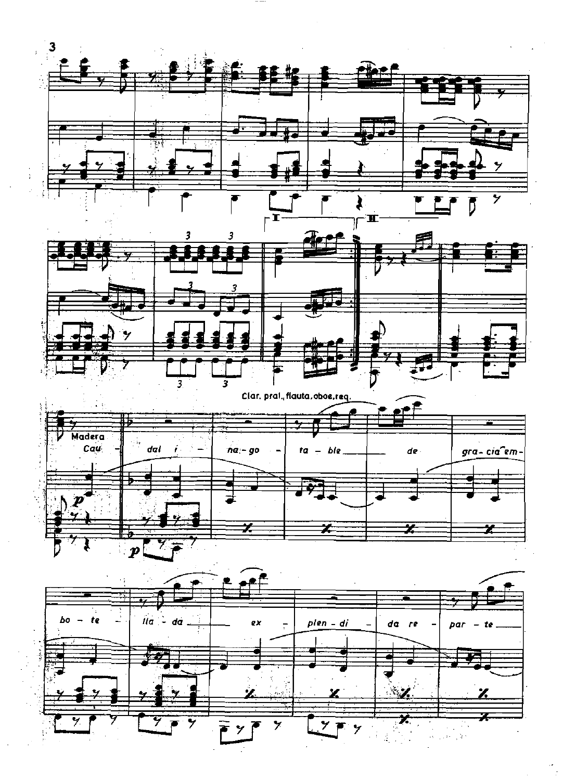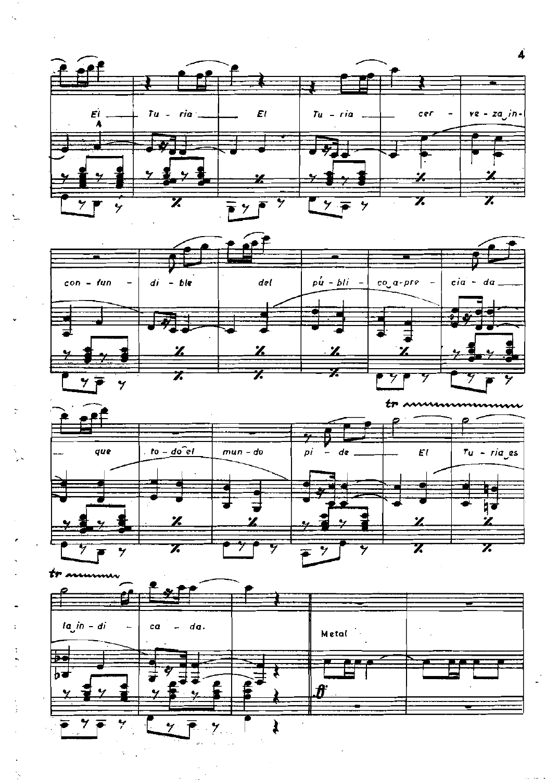





tr



Ĺ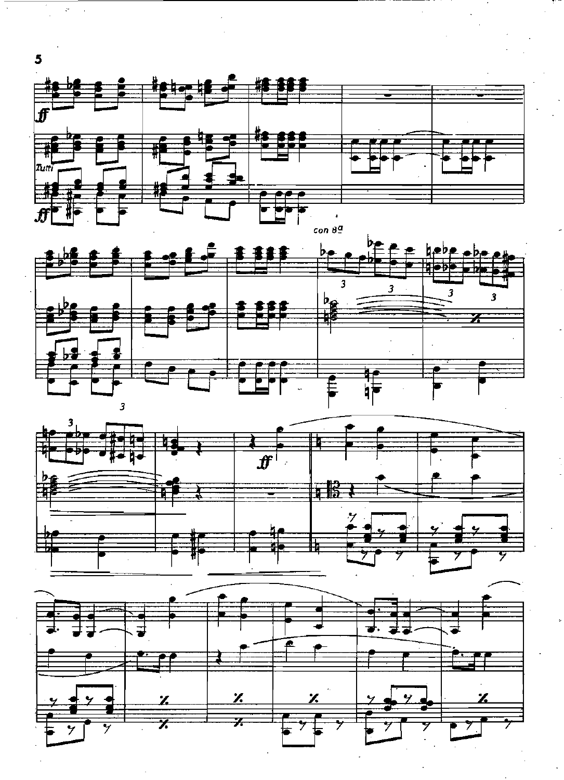





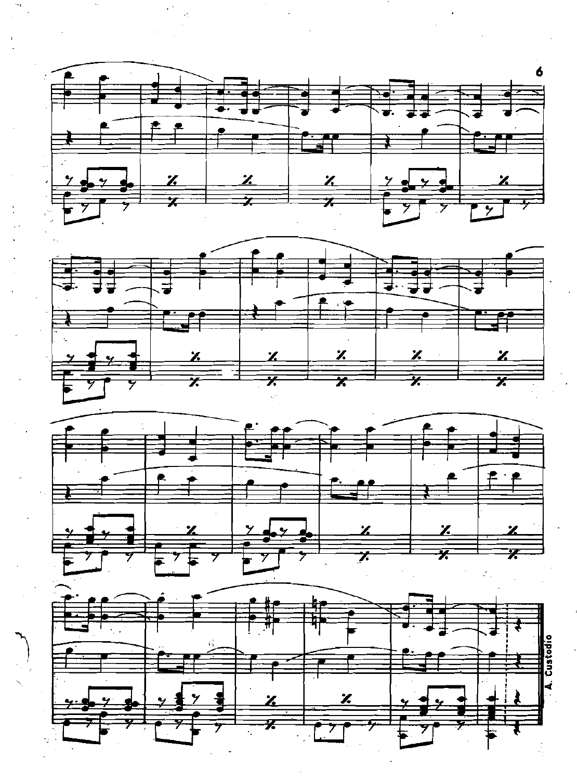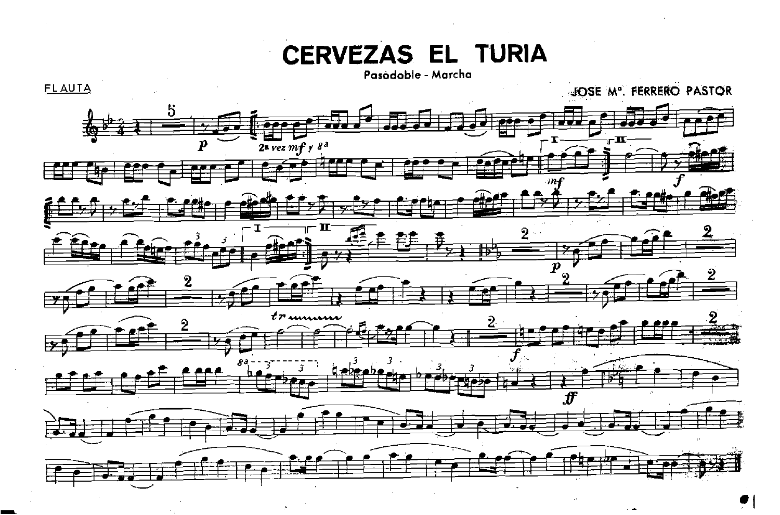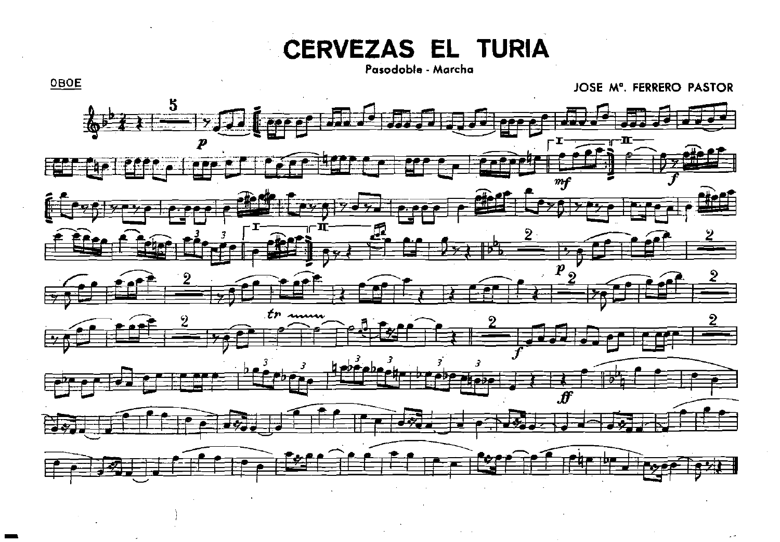**CERVEZAS EL TURIA** 

 $OBOE$ 

Pasodoble - Marcha

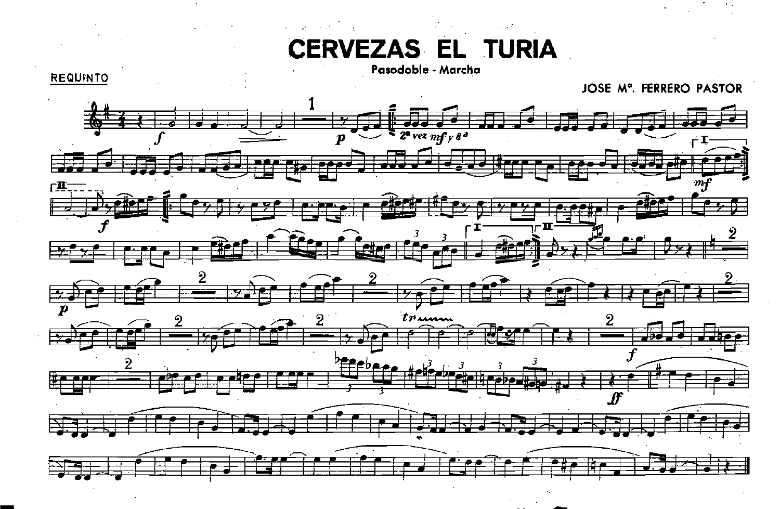Pasodoble - Marcha

**REQUINTO** 

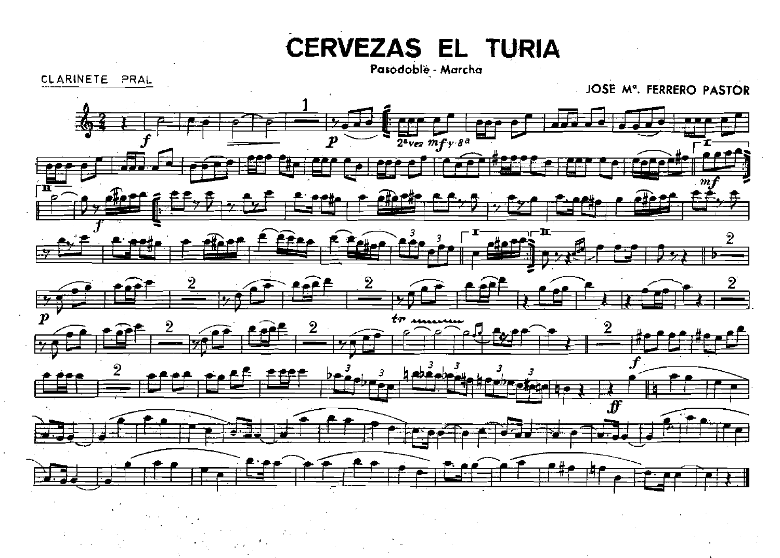Pasodoble - Marcha

CLARINETE PRAL

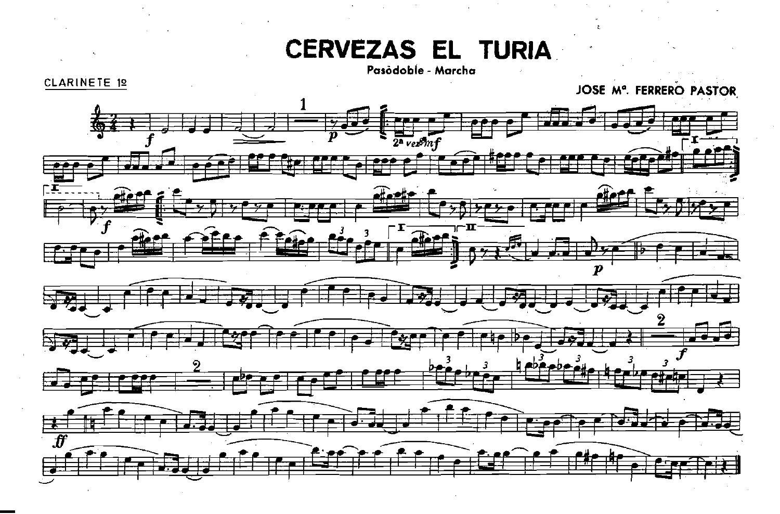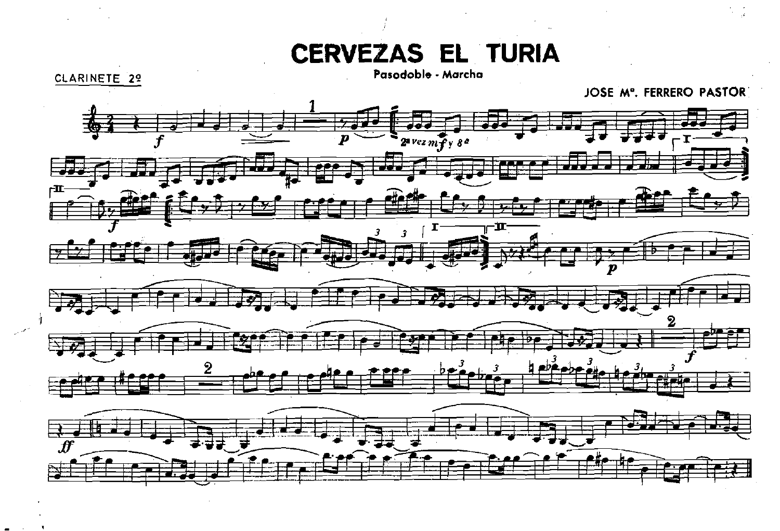CLARINETE<sup>29</sup>

Pasodoble - Marcha

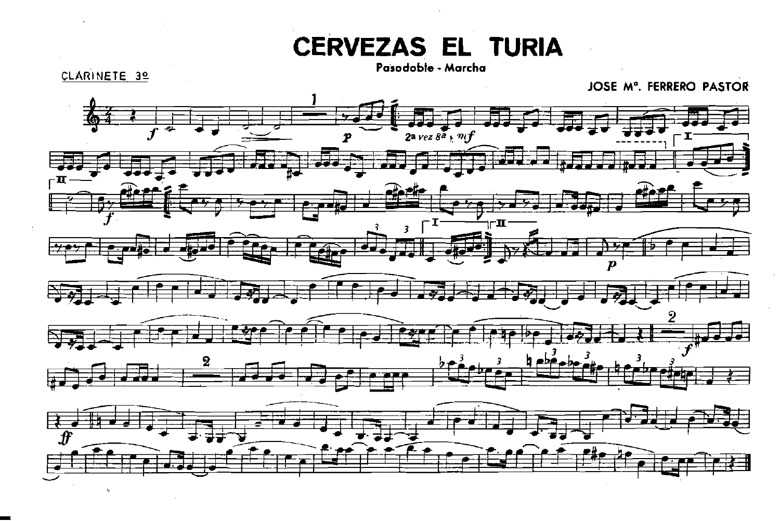Pasodoble - Marcha

CLARINETE 3º

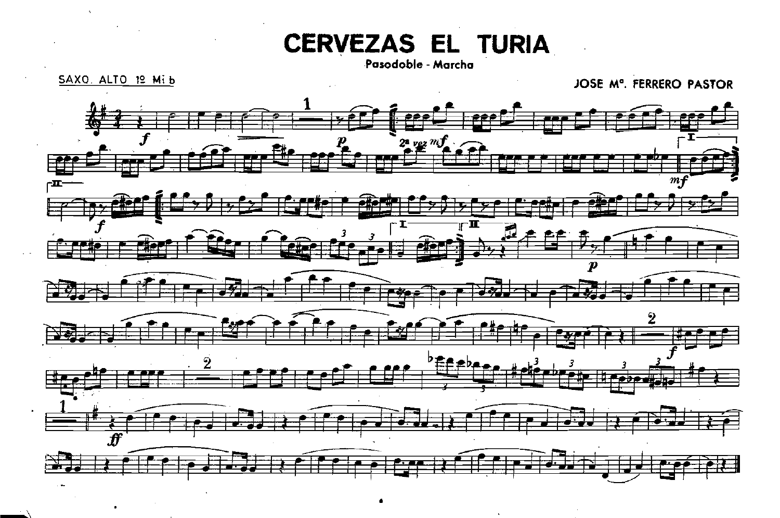**CERVEZAS EL TURIA** 

Pasodoble - Marcha

SAXO. ALTO 1º Mib

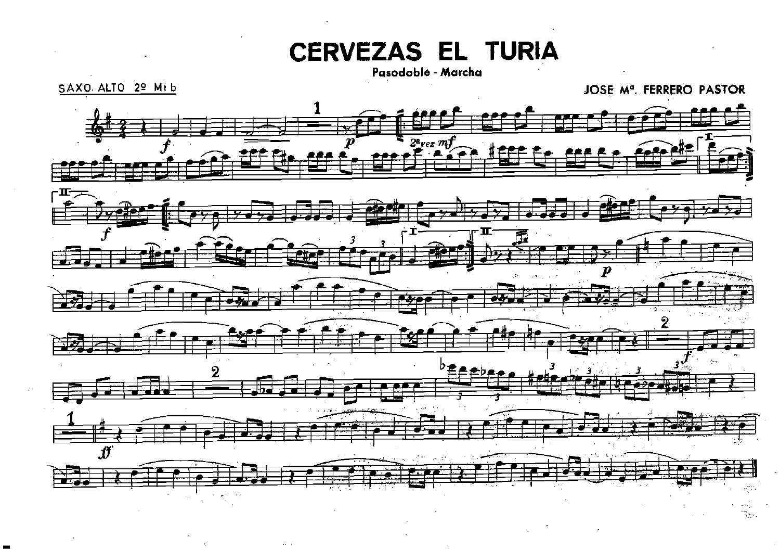Pasodoble - Marcha

SAXO ALTO 2º Mib

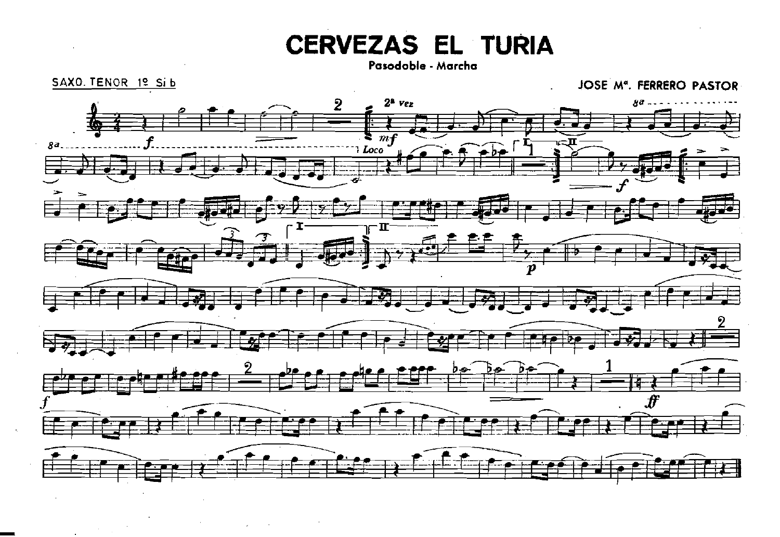Pasodoble - Marcha

SAXO. TENOR 1º Sib

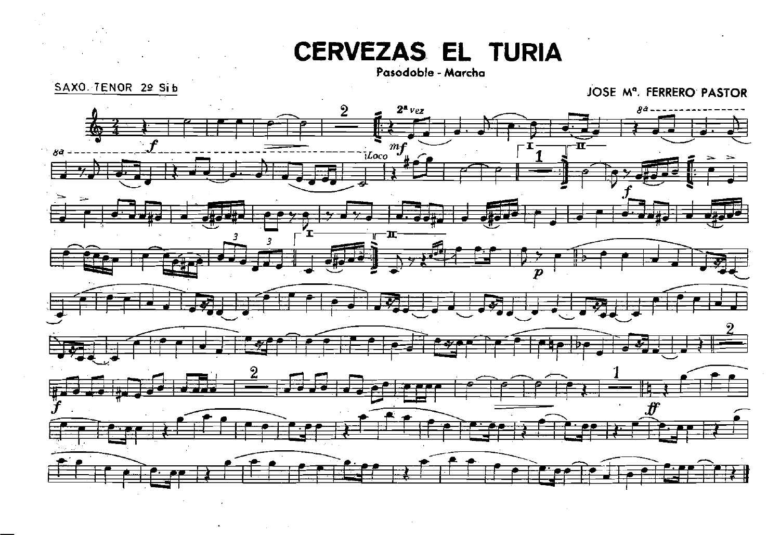Pasodoble - Marcha

SAXO TENOR 2º Sib

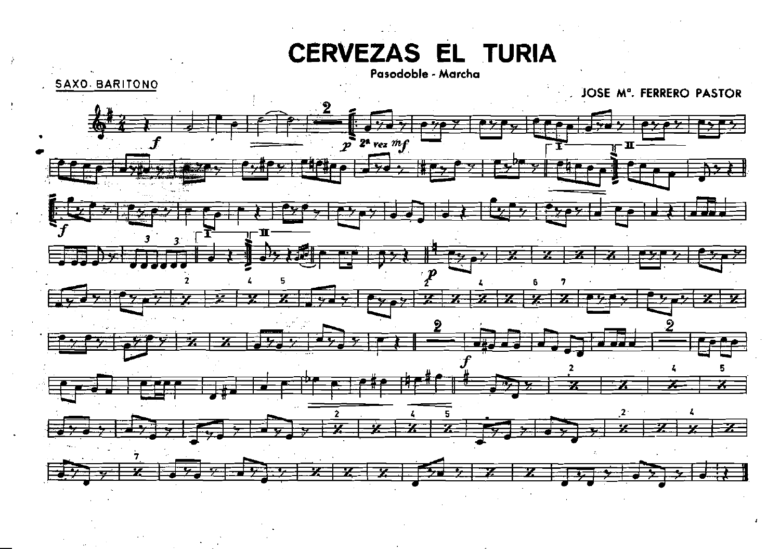Pasodoble - Marcha

SAXO BARITONO

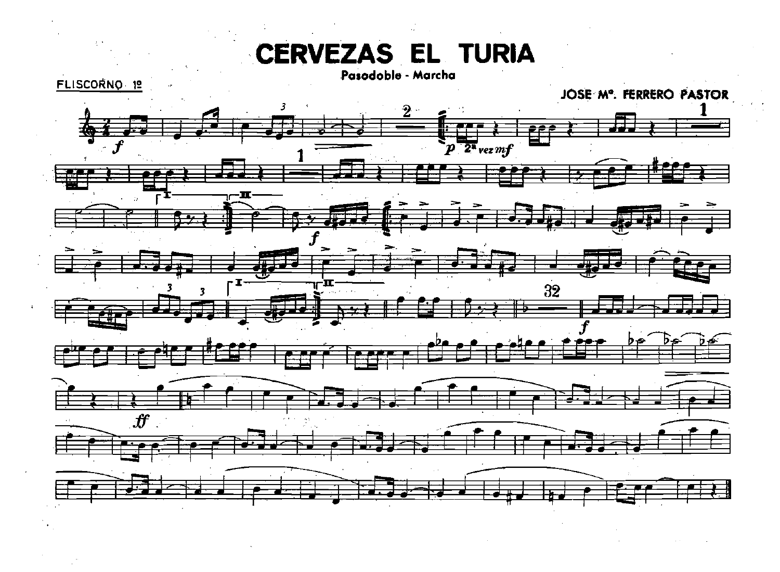Pasadoble - Marcha

FLISCORNO 12

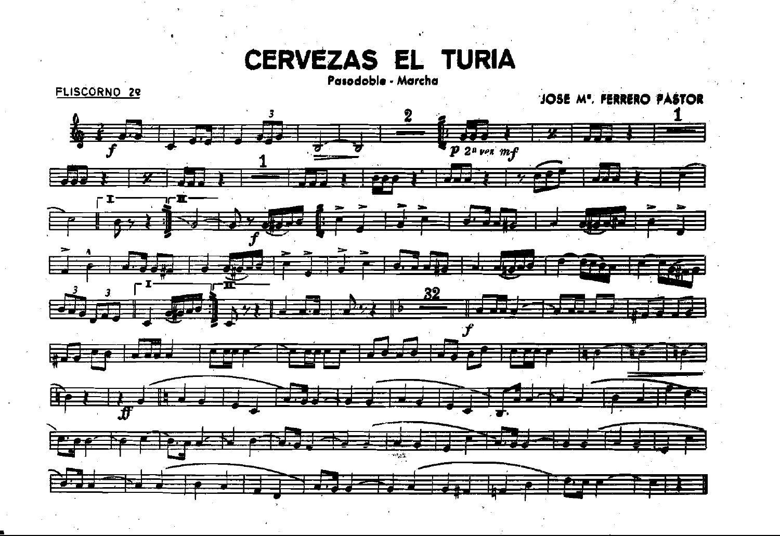Pasodoble - Marcha FLISCORNO 2º JOSE M". FERRERO PASTOR  $2<sup>a</sup>$  vex  $m<sub>f</sub>$ T∟∎ 32

| -- |  |   |
|----|--|---|
|    |  |   |
|    |  | _ |
|    |  |   |
|    |  |   |
|    |  |   |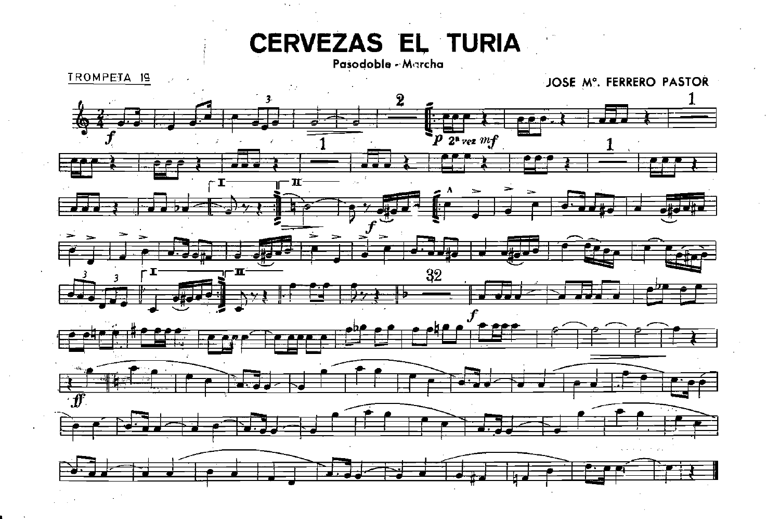Pasodoble - Marcha

TROMPETA 19

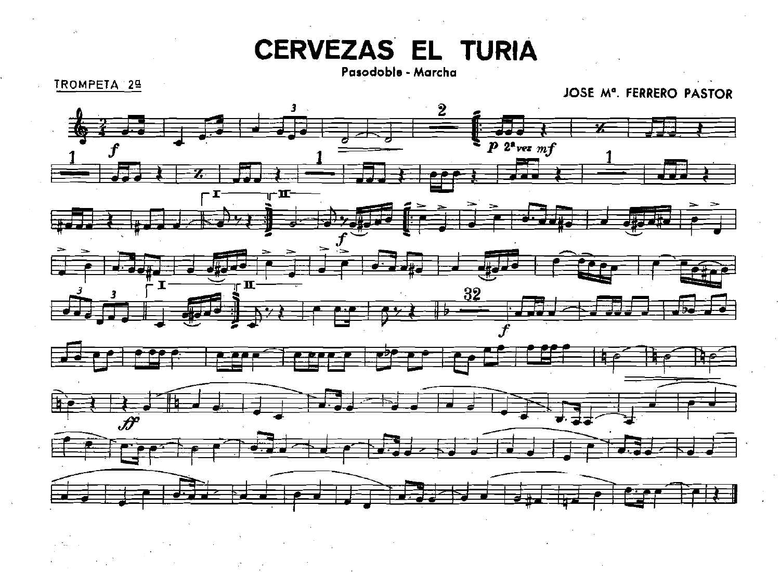Pasodoble - Marcha

TROMPETA 24

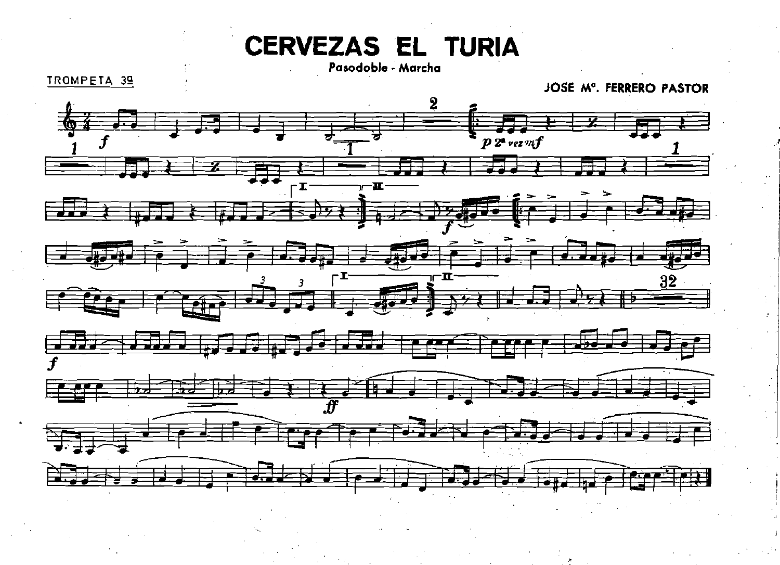Pasodoble - Marcha

TROMPETA 39

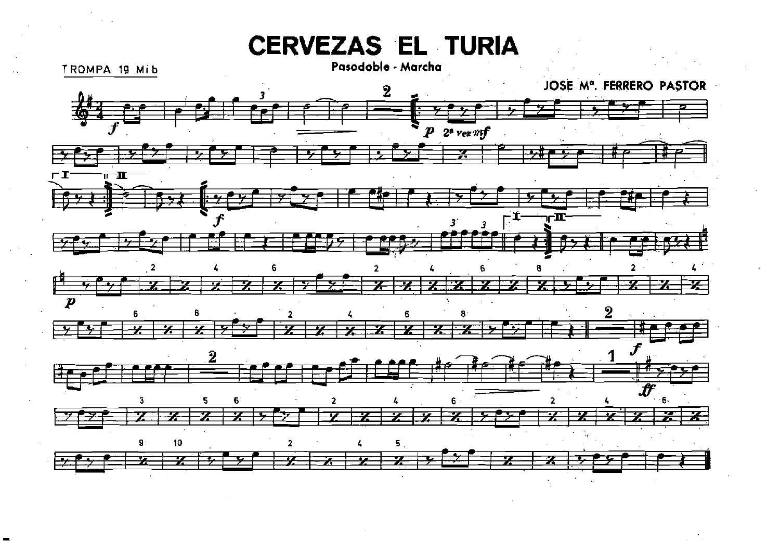TROMPA 19 Mib

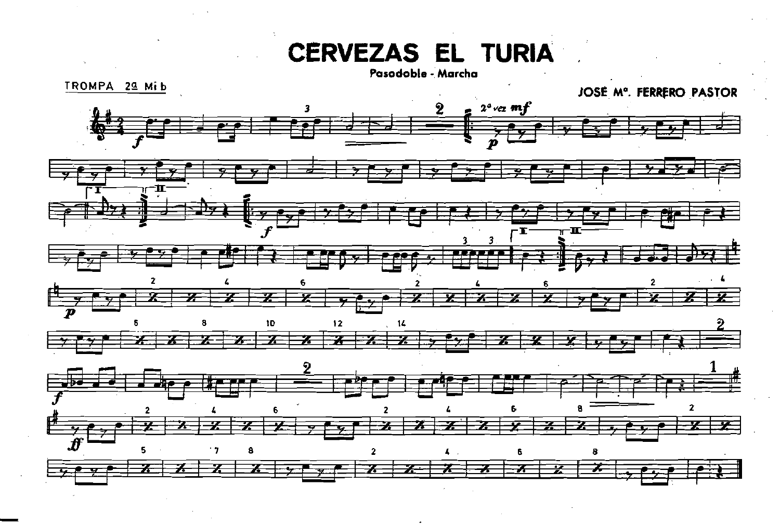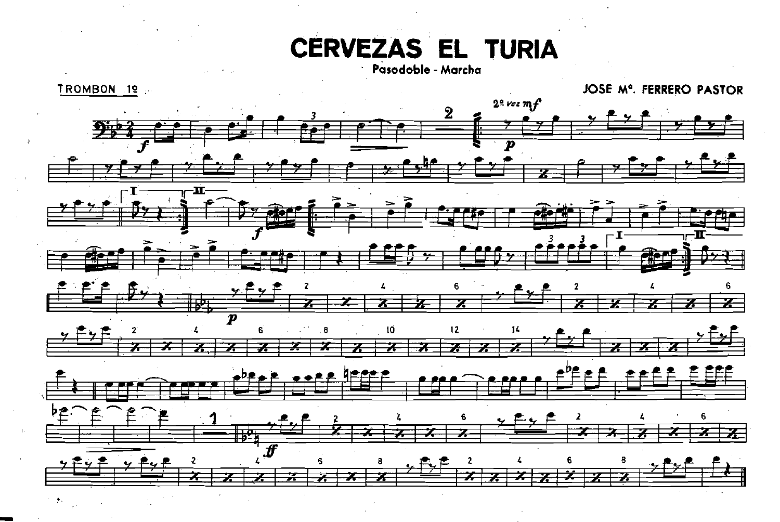- Pasodoble - Marcha

TROMBON 19 JOSE Mº. FERRERO PASTOR  $2<sup>2</sup>$  vez  $m f$  $\overline{2}$  $\overline{\bm{p}}$ -n.  $\overline{\boldsymbol{p}}$ 10  $12$  $14$ 6  $\overline{\mathbf{c}}$ 2 8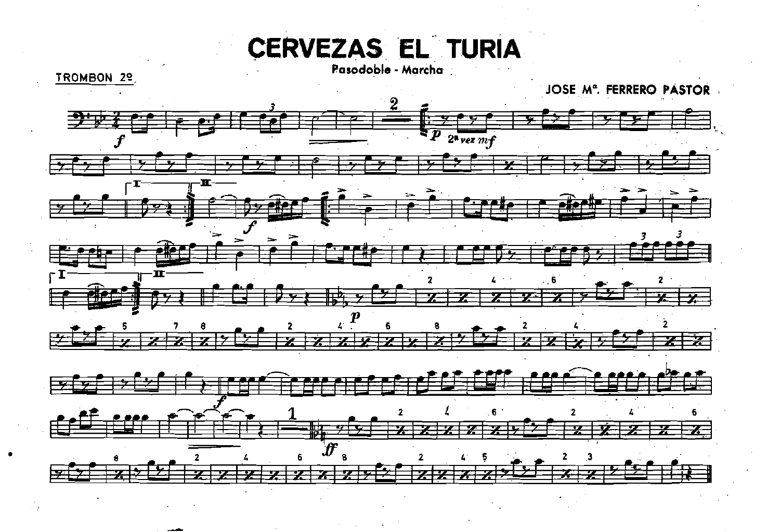**CERVEZAS EL TURIA** 

**TROMBON 20 Pasodoble** - **Marcha** 

JOSE M<sup>e</sup>. FERRERO PASTOR

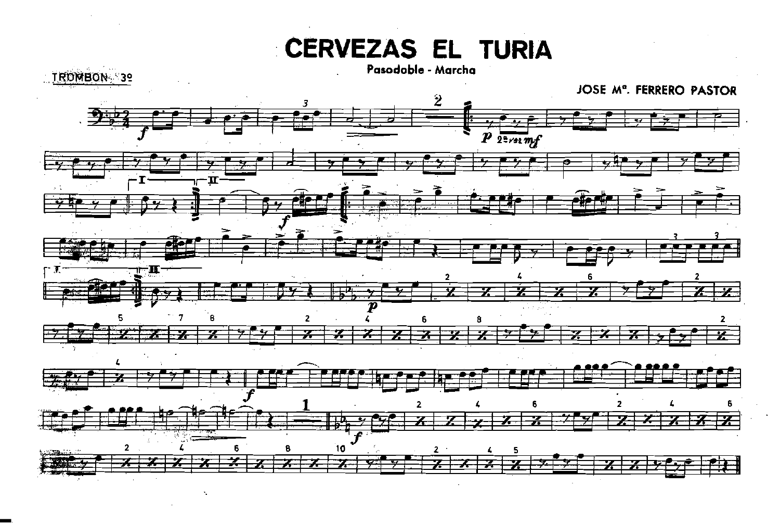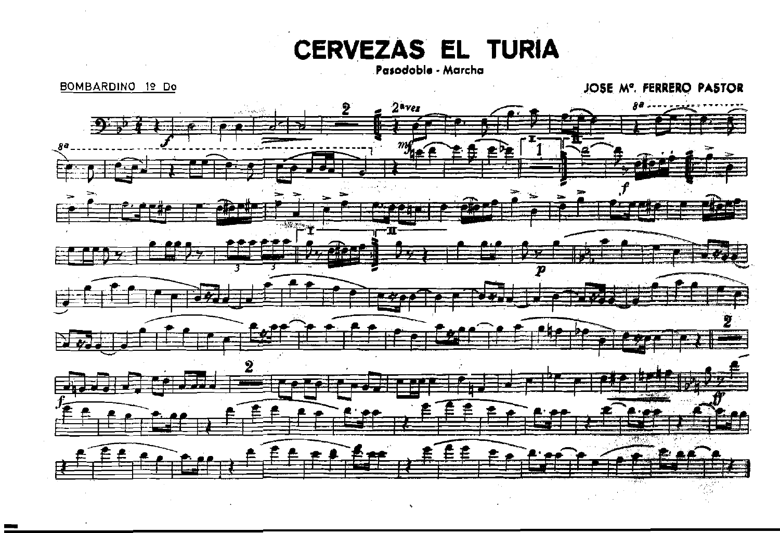Pasodoble - Marcha

BOMBARDINO 19 Do

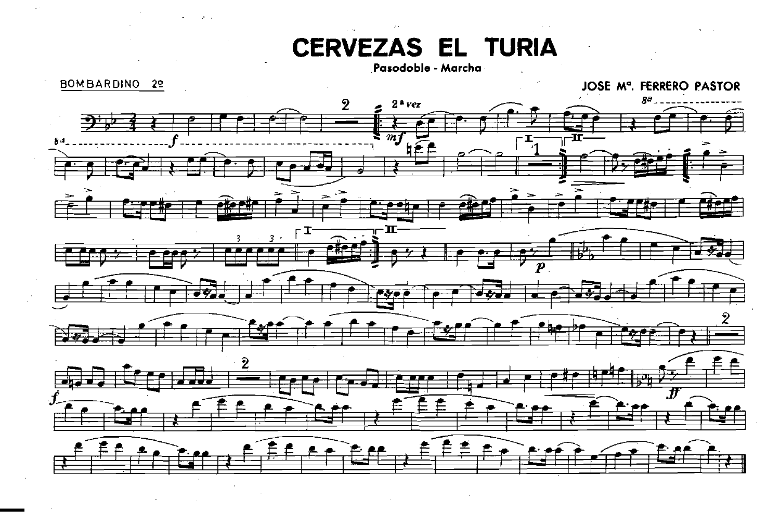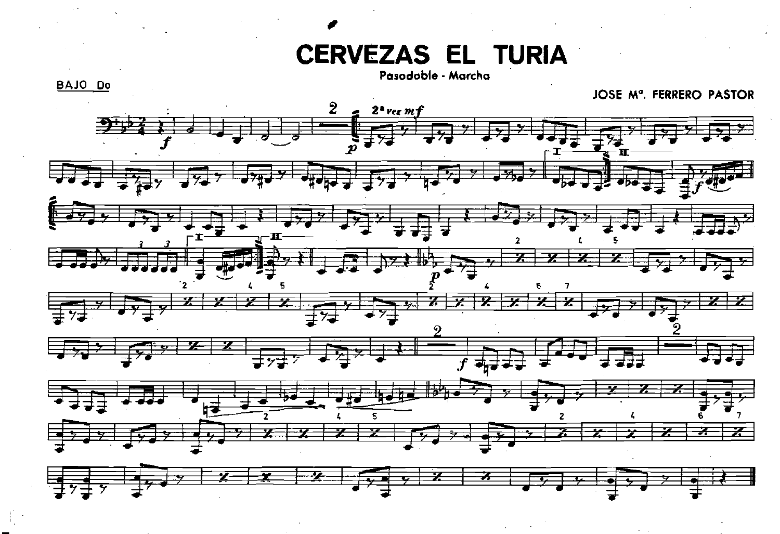Pasodoble - Marcha

BAJO Do

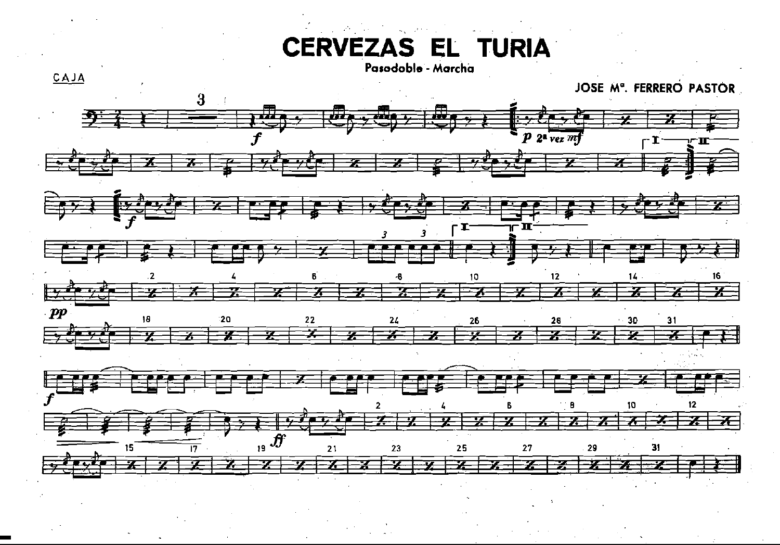Pasodoble - Marcha

 $C A J A$